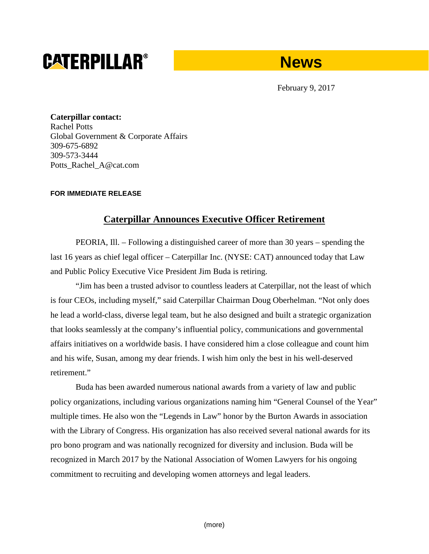# **CATERPILLAR®**

# **News**

February 9, 2017

**Caterpillar contact:** Rachel Potts Global Government & Corporate Affairs 309-675-6892 309-573-3444 Potts\_Rachel\_A@cat.com

## **FOR IMMEDIATE RELEASE**

# **Caterpillar Announces Executive Officer Retirement**

PEORIA, Ill. – Following a distinguished career of more than 30 years – spending the last 16 years as chief legal officer – Caterpillar Inc. (NYSE: CAT) announced today that Law and Public Policy Executive Vice President Jim Buda is retiring.

"Jim has been a trusted advisor to countless leaders at Caterpillar, not the least of which is four CEOs, including myself," said Caterpillar Chairman Doug Oberhelman. "Not only does he lead a world-class, diverse legal team, but he also designed and built a strategic organization that looks seamlessly at the company's influential policy, communications and governmental affairs initiatives on a worldwide basis. I have considered him a close colleague and count him and his wife, Susan, among my dear friends. I wish him only the best in his well-deserved retirement."

Buda has been awarded numerous national awards from a variety of law and public policy organizations, including various organizations naming him "General Counsel of the Year" multiple times. He also won the "Legends in Law" honor by the Burton Awards in association with the Library of Congress. His organization has also received several national awards for its pro bono program and was nationally recognized for diversity and inclusion. Buda will be recognized in March 2017 by the National Association of Women Lawyers for his ongoing commitment to recruiting and developing women attorneys and legal leaders.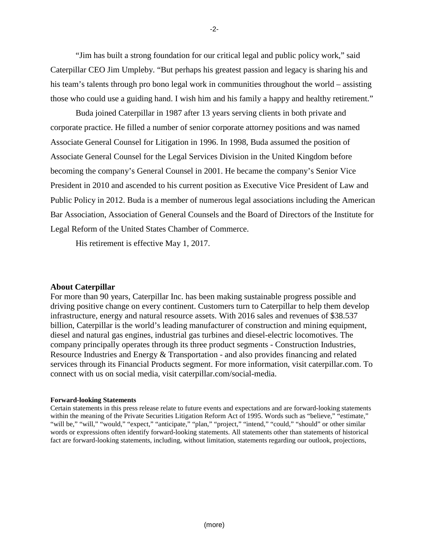"Jim has built a strong foundation for our critical legal and public policy work," said Caterpillar CEO Jim Umpleby. "But perhaps his greatest passion and legacy is sharing his and his team's talents through pro bono legal work in communities throughout the world – assisting those who could use a guiding hand. I wish him and his family a happy and healthy retirement."

Buda joined Caterpillar in 1987 after 13 years serving clients in both private and corporate practice. He filled a number of senior corporate attorney positions and was named Associate General Counsel for Litigation in 1996. In 1998, Buda assumed the position of Associate General Counsel for the Legal Services Division in the United Kingdom before becoming the company's General Counsel in 2001. He became the company's Senior Vice President in 2010 and ascended to his current position as Executive Vice President of Law and Public Policy in 2012. Buda is a member of numerous legal associations including the American Bar Association, Association of General Counsels and the Board of Directors of the Institute for Legal Reform of the United States Chamber of Commerce.

His retirement is effective May 1, 2017.

### **About Caterpillar**

For more than 90 years, Caterpillar Inc. has been making sustainable progress possible and driving positive change on every continent. Customers turn to Caterpillar to help them develop infrastructure, energy and natural resource assets. With 2016 sales and revenues of \$38.537 billion, Caterpillar is the world's leading manufacturer of construction and mining equipment, diesel and natural gas engines, industrial gas turbines and diesel-electric locomotives. The company principally operates through its three product segments - Construction Industries, Resource Industries and Energy & Transportation - and also provides financing and related services through its Financial Products segment. For more information, visit [caterpillar.com.](http://www.caterpillar.com/en.html) To connect with us on social media, visit [caterpillar.com/social-media.](http://www.caterpillar.com/en/news/social-media.html)

#### **Forward-looking Statements**

Certain statements in this press release relate to future events and expectations and are forward-looking statements within the meaning of the Private Securities Litigation Reform Act of 1995. Words such as "believe," "estimate," "will be," "will," "would," "expect," "anticipate," "plan," "project," "intend," "could," "should" or other similar words or expressions often identify forward-looking statements. All statements other than statements of historical fact are forward-looking statements, including, without limitation, statements regarding our outlook, projections,

-2-